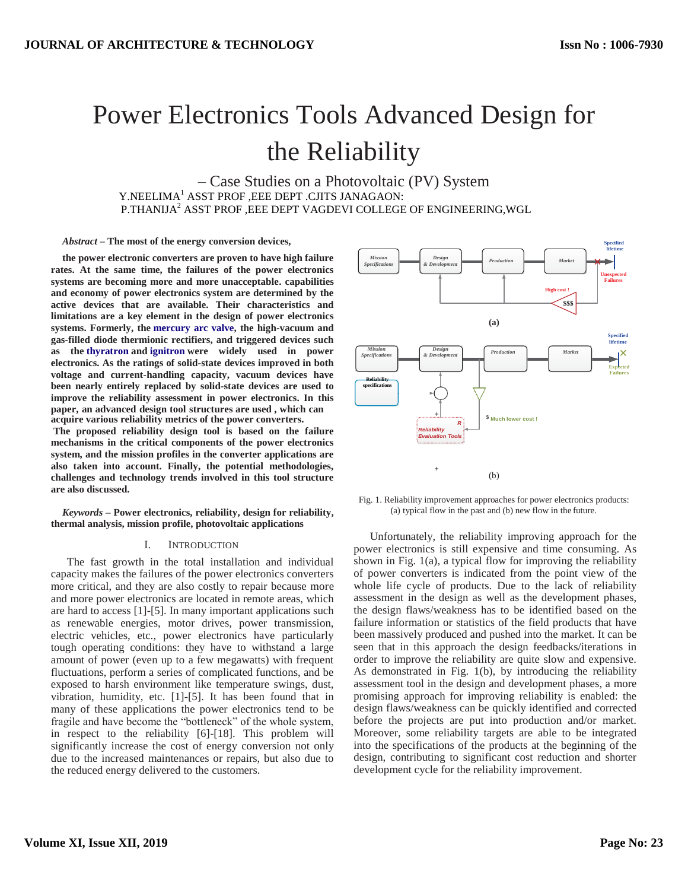# Power Electronics Tools Advanced Design for the Reliability

– Case Studies on a Photovoltaic (PV) System Y.NEELIMA<sup>1</sup> ASST PROF .EEE DEPT .CJITS JANAGAON: P.THANIJA<sup>2</sup> ASST PROF , EEE DEPT VAGDEVI COLLEGE OF ENGINEERING, WGL

*Abstract* **– The most of the energy conversion devices,**

**the power electronic converters are proven to have high failure rates. At the same time, the failures of the power electronics systems are becoming more and more unacceptable. capabilities and economy of power electronics system are determined by the active devices that are available. Their characteristics and limitations are a key element in the design of power electronics systems. Formerly, the [mercury arc valve,](https://en.wikipedia.org/wiki/Mercury_arc_valve) the high-vacuum and gas-filled diode thermionic rectifiers, and triggered devices such as the [thyratron](https://en.wikipedia.org/wiki/Thyratron) and [ignitron](https://en.wikipedia.org/wiki/Ignitron) were widely used in power electronics. As the ratings of solid-state devices improved in both voltage and current-handling capacity, vacuum devices have been nearly entirely replaced by solid-state devices are used to improve the reliability assessment in power electronics. In this paper, an advanced design tool structures are used , which can acquire various reliability metrics of the power converters.**

**The proposed reliability design tool is based on the failure mechanisms in the critical components of the power electronics system, and the mission profiles in the converter applications are also taken into account. Finally, the potential methodologies, challenges and technology trends involved in this tool structure are also discussed.**

*Keywords* **– Power electronics, reliability, design for reliability, thermal analysis, mission profile, photovoltaic applications**

#### I. INTRODUCTION

The fast growth in the total installation and individual capacity makes the failures of the power electronics converters more critical, and they are also costly to repair because more and more power electronics are located in remote areas, which are hard to access [1]-[5]. In many important applications such as renewable energies, motor drives, power transmission, electric vehicles, etc., power electronics have particularly tough operating conditions: they have to withstand a large amount of power (even up to a few megawatts) with frequent fluctuations, perform a series of complicated functions, and be exposed to harsh environment like temperature swings, dust, vibration, humidity, etc. [1]-[5]. It has been found that in many of these applications the power electronics tend to be fragile and have become the "bottleneck" of the whole system, in respect to the reliability [6]-[18]. This problem will significantly increase the cost of energy conversion not only due to the increased maintenances or repairs, but also due to the reduced energy delivered to the customers.



Fig. 1. Reliability improvement approaches for power electronics products: (a) typical flow in the past and (b) new flow in the future.

Unfortunately, the reliability improving approach for the power electronics is still expensive and time consuming. As shown in Fig. 1(a), a typical flow for improving the reliability of power converters is indicated from the point view of the whole life cycle of products. Due to the lack of reliability assessment in the design as well as the development phases, the design flaws/weakness has to be identified based on the failure information or statistics of the field products that have been massively produced and pushed into the market. It can be seen that in this approach the design feedbacks/iterations in order to improve the reliability are quite slow and expensive. As demonstrated in Fig. 1(b), by introducing the reliability assessment tool in the design and development phases, a more promising approach for improving reliability is enabled: the design flaws/weakness can be quickly identified and corrected before the projects are put into production and/or market. Moreover, some reliability targets are able to be integrated into the specifications of the products at the beginning of the design, contributing to significant cost reduction and shorter development cycle for the reliability improvement.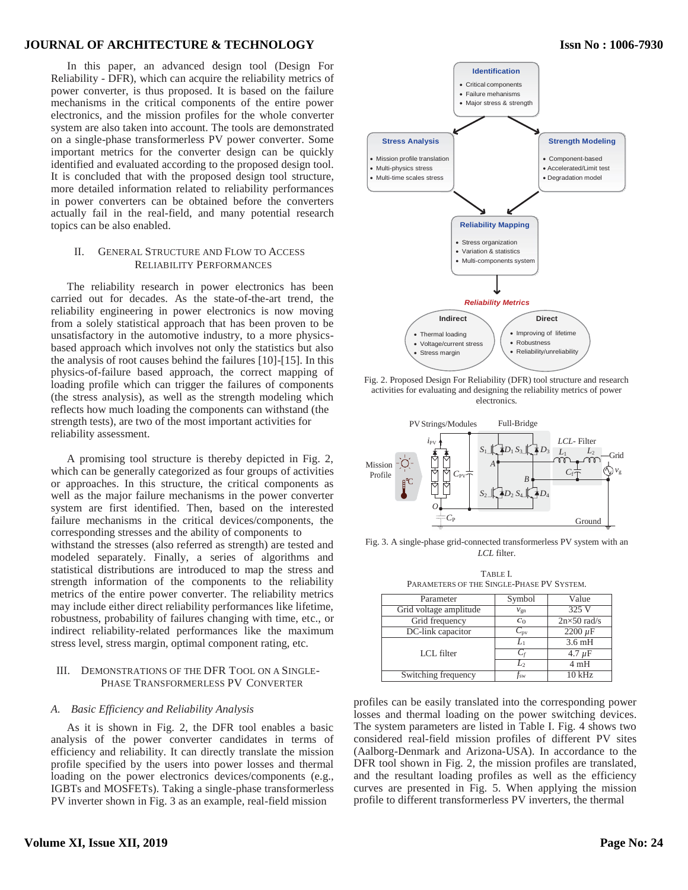## **JOURNAL OF ARCHITECTURE & TECHNOLOGY**

In this paper, an advanced design tool (Design For Reliability - DFR), which can acquire the reliability metrics of power converter, is thus proposed. It is based on the failure mechanisms in the critical components of the entire power electronics, and the mission profiles for the whole converter system are also taken into account. The tools are demonstrated on a single-phase transformerless PV power converter. Some important metrics for the converter design can be quickly identified and evaluated according to the proposed design tool. It is concluded that with the proposed design tool structure, more detailed information related to reliability performances in power converters can be obtained before the converters actually fail in the real-field, and many potential research topics can be also enabled.

## II. GENERAL STRUCTURE AND FLOW TO ACCESS RELIABILITY PERFORMANCES

The reliability research in power electronics has been carried out for decades. As the state-of-the-art trend, the reliability engineering in power electronics is now moving from a solely statistical approach that has been proven to be unsatisfactory in the automotive industry, to a more physicsbased approach which involves not only the statistics but also the analysis of root causes behind the failures [10]-[15]. In this physics-of-failure based approach, the correct mapping of loading profile which can trigger the failures of components (the stress analysis), as well as the strength modeling which reflects how much loading the components can withstand (the strength tests), are two of the most important activities for reliability assessment.

A promising tool structure is thereby depicted in Fig. 2, which can be generally categorized as four groups of activities or approaches. In this structure, the critical components as well as the major failure mechanisms in the power converter system are first identified. Then, based on the interested failure mechanisms in the critical devices/components, the corresponding stresses and the ability of components to

withstand the stresses (also referred as strength) are tested and modeled separately. Finally, a series of algorithms and statistical distributions are introduced to map the stress and strength information of the components to the reliability metrics of the entire power converter. The reliability metrics may include either direct reliability performances like lifetime, robustness, probability of failures changing with time, etc., or indirect reliability-related performances like the maximum stress level, stress margin, optimal component rating, etc.

# III. DEMONSTRATIONS OF THE DFR TOOL ON A SINGLE-PHASE TRANSFORMERLESS PV CONVERTER

#### *A. Basic Efficiency and Reliability Analysis*

As it is shown in Fig. 2, the DFR tool enables a basic analysis of the power converter candidates in terms of efficiency and reliability. It can directly translate the mission profile specified by the users into power losses and thermal loading on the power electronics devices/components (e.g., IGBTs and MOSFETs). Taking a single-phase transformerless PV inverter shown in Fig. 3 as an example, real-field mission



Fig. 2. Proposed Design For Reliability (DFR) tool structure and research activities for evaluating and designing the reliability metrics of power electronics.



Fig. 3. A single-phase grid-connected transformerless PV system with an *LCL* filter.

TABLE I. PARAMETERS OF THE SINGLE-PHASE PV SYSTEM.

| Parameter              | Symbol           | Value                |
|------------------------|------------------|----------------------|
| Grid voltage amplitude | $v_{\rm gn}$     | 325 V                |
| Grid frequency         | c <sub>0</sub>   | $2n \times 50$ rad/s |
| DC-link capacitor      | $\cup_{\rm{pv}}$ | $2200 \mu F$         |
| LCL filter             |                  | $3.6 \text{ mH}$     |
|                        |                  | $4.7 \mu F$          |
|                        | L2               | 4 mH                 |
| Switching frequency    | Tsw              | 10 kHz               |

profiles can be easily translated into the corresponding power losses and thermal loading on the power switching devices. The system parameters are listed in Table I. Fig. 4 shows two considered real-field mission profiles of different PV sites (Aalborg-Denmark and Arizona-USA). In accordance to the DFR tool shown in Fig. 2, the mission profiles are translated, and the resultant loading profiles as well as the efficiency curves are presented in Fig. 5. When applying the mission profile to different transformerless PV inverters, the thermal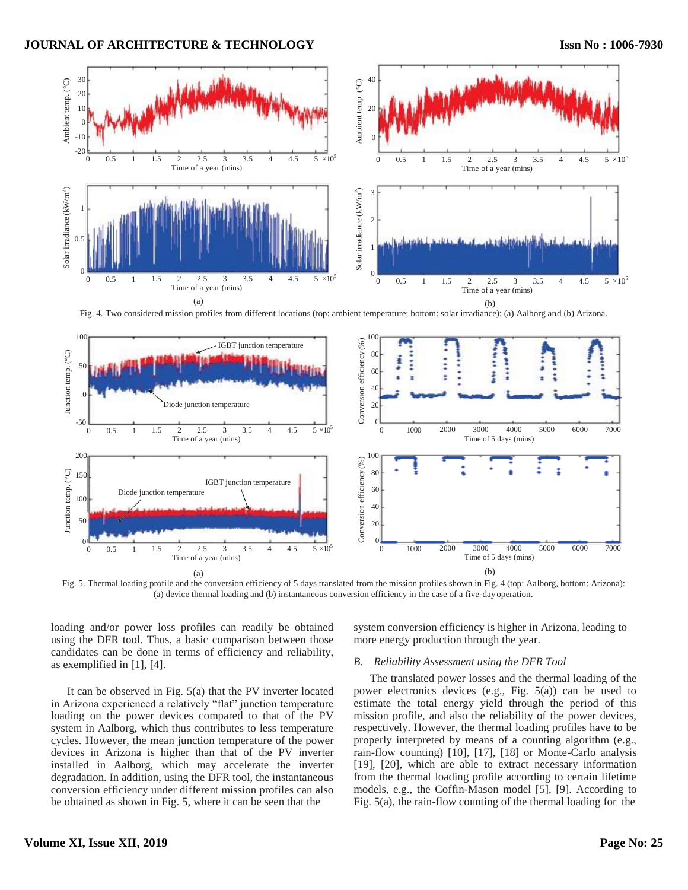

Fig. 4. Two considered mission profiles from different locations (top: ambient temperature; bottom: solar irradiance): (a) Aalborg and (b) Arizona.



Fig. 5. Thermal loading profile and the conversion efficiency of 5 days translated from the mission profiles shown in Fig. 4 (top: Aalborg, bottom: Arizona): (a) device thermal loading and (b) instantaneous conversion efficiency in the case of a five-dayoperation.

loading and/or power loss profiles can readily be obtained using the DFR tool. Thus, a basic comparison between those candidates can be done in terms of efficiency and reliability, as exemplified in [1], [4].

It can be observed in Fig. 5(a) that the PV inverter located in Arizona experienced a relatively "flat" junction temperature loading on the power devices compared to that of the PV system in Aalborg, which thus contributes to less temperature cycles. However, the mean junction temperature of the power devices in Arizona is higher than that of the PV inverter installed in Aalborg, which may accelerate the inverter degradation. In addition, using the DFR tool, the instantaneous conversion efficiency under different mission profiles can also be obtained as shown in Fig. 5, where it can be seen that the

system conversion efficiency is higher in Arizona, leading to more energy production through the year.

### *B. Reliability Assessment using the DFR Tool*

The translated power losses and the thermal loading of the power electronics devices (e.g., Fig. 5(a)) can be used to estimate the total energy yield through the period of this mission profile, and also the reliability of the power devices, respectively. However, the thermal loading profiles have to be properly interpreted by means of a counting algorithm (e.g., rain-flow counting) [10], [17], [18] or Monte-Carlo analysis [19], [20], which are able to extract necessary information from the thermal loading profile according to certain lifetime models, e.g., the Coffin-Mason model [5], [9]. According to Fig. 5(a), the rain-flow counting of the thermal loading for the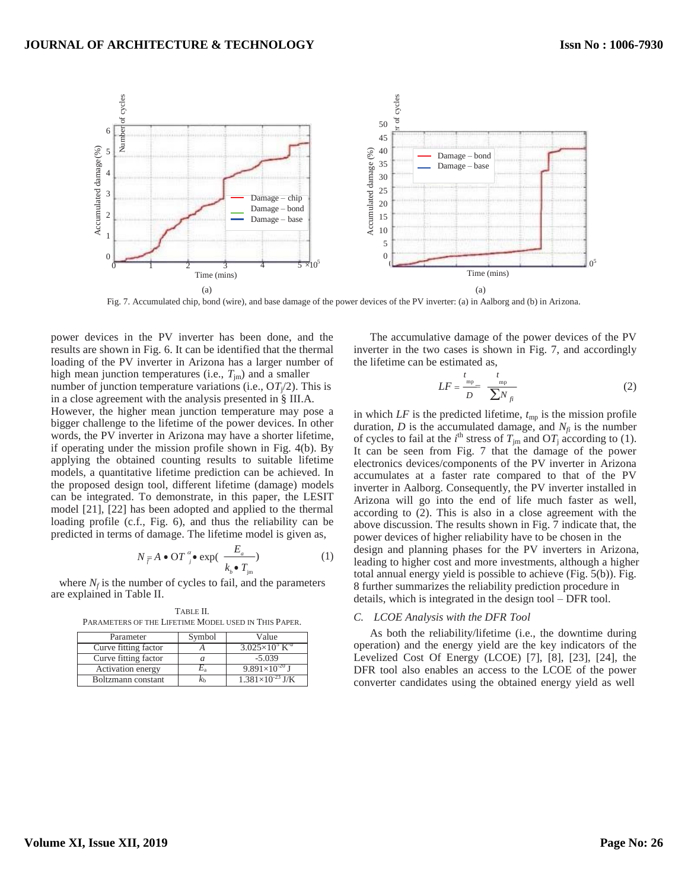

Fig. 7. Accumulated chip, bond (wire), and base damage of the power devices of the PV inverter: (a) in Aalborg and (b) in Arizona.

power devices in the PV inverter has been done, and the results are shown in Fig. 6. It can be identified that the thermal loading of the PV inverter in Arizona has a larger number of high mean junction temperatures (i.e.,  $T_{\text{im}}$ ) and a smaller number of junction temperature variations (i.e.,  $\overline{OT}_j/2$ ). This is

in a close agreement with the analysis presented in § III.A.

However, the higher mean junction temperature may pose a bigger challenge to the lifetime of the power devices. In other words, the PV inverter in Arizona may have a shorter lifetime, if operating under the mission profile shown in Fig. 4(b). By applying the obtained counting results to suitable lifetime models, a quantitative lifetime prediction can be achieved. In the proposed design tool, different lifetime (damage) models can be integrated. To demonstrate, in this paper, the LESIT model [21], [22] has been adopted and applied to the thermal loading profile (c.f., Fig. 6), and thus the reliability can be predicted in terms of damage. The lifetime model is given as,

$$
N_{\overline{f}} A \bullet \mathbf{O} T_{j}^{\alpha} \bullet \exp(\frac{E_{a}}{k_{b} \bullet T_{jm}})
$$
 (1)

where  $N_f$  is the number of cycles to fail, and the parameters are explained in Table II.

TABLE II. PARAMETERS OF THE LIFETIME MODEL USED IN THIS PAPER.

| Parameter            | Symbol | Value                               |
|----------------------|--------|-------------------------------------|
| Curve fitting factor |        | $3.025\times10^{5}$ K <sup>-a</sup> |
| Curve fitting factor |        | $-5.039$                            |
| Activation energy    |        | $9.891\times10^{-20}$ .             |
| Boltzmann constant   |        | $\frac{1.381 \times 10^{-23}}{2}$   |

The accumulative damage of the power devices of the PV inverter in the two cases is shown in Fig. 7, and accordingly the lifetime can be estimated as,

$$
LF = \frac{t_{\rm mp}}{D} = \frac{t_{\rm mp}}{\sum N_{fi}} \tag{2}
$$

in which  $LF$  is the predicted lifetime,  $t_{\text{mp}}$  is the mission profile duration,  $D$  is the accumulated damage, and  $N_f$  is the number of cycles to fail at the *i*<sup>th</sup> stress of  $T_{jm}$  and O $T_j$  according to (1). It can be seen from Fig. 7 that the damage of the power electronics devices/components of the PV inverter in Arizona accumulates at a faster rate compared to that of the PV inverter in Aalborg. Consequently, the PV inverter installed in Arizona will go into the end of life much faster as well, according to (2). This is also in a close agreement with the above discussion. The results shown in Fig. 7 indicate that, the power devices of higher reliability have to be chosen in the design and planning phases for the PV inverters in Arizona, leading to higher cost and more investments, although a higher total annual energy yield is possible to achieve (Fig. 5(b)). Fig. 8 further summarizes the reliability prediction procedure in details, which is integrated in the design tool – DFR tool.

#### *C. LCOE Analysis with the DFR Tool*

As both the reliability/lifetime (i.e., the downtime during operation) and the energy yield are the key indicators of the Levelized Cost Of Energy (LCOE) [7], [8], [23], [24], the DFR tool also enables an access to the LCOE of the power converter candidates using the obtained energy yield as well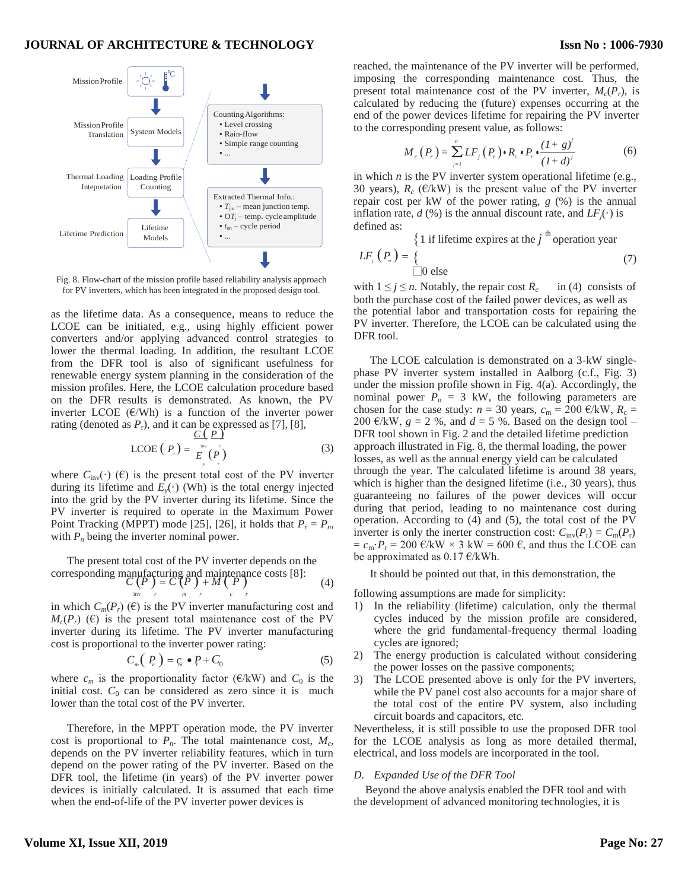## **JOURNAL OF ARCHITECTURE & TECHNOLOGY**

## **Issn No : 1006-7930**



Fig. 8. Flow-chart of the mission profile based reliability analysis approach for PV inverters, which has been integrated in the proposed design tool.

as the lifetime data. As a consequence, means to reduce the LCOE can be initiated, e.g., using highly efficient power converters and/or applying advanced control strategies to lower the thermal loading. In addition, the resultant LCOE from the DFR tool is also of significant usefulness for renewable energy system planning in the consideration of the mission profiles. Here, the LCOE calculation procedure based on the DFR results is demonstrated. As known, the PV inverter LCOE  $(\epsilon$ /Wh) is a function of the inverter power rating (denoted as  $P_r$ ), and it can be expressed as [7], [8],

$$
LCOE(P_r) = \frac{1}{E} \left( \frac{P}{P} \right) \tag{3}
$$

where  $C_{\text{inv}}(\cdot)$  ( $\epsilon$ ) is the present total cost of the PV inverter during its lifetime and  $E_y(\cdot)$  (Wh) is the total energy injected into the grid by the PV inverter during its lifetime. Since the PV inverter is required to operate in the Maximum Power Point Tracking (MPPT) mode [25], [26], it holds that  $P_r = P_n$ , with  $P_n$  being the inverter nominal power.

The present total cost of the PV inverter depends on the

corresponding manufacturing and maintenance costs [8]:  

$$
C(P) = C(P) + M(P)
$$

$$
(4)
$$

in which  $C_m(P_r)$  ( $\epsilon$ ) is the PV inverter manufacturing cost and  $M_c(P_r)$  ( $\epsilon$ ) is the present total maintenance cost of the PV inverter during its lifetime. The PV inverter manufacturing cost is proportional to the inverter power rating:

$$
C_m(P_r) = C_m \bullet P_r + C_0 \tag{5}
$$

where  $c_m$  is the proportionality factor ( $\epsilon/kW$ ) and  $C_0$  is the initial cost.  $C_0$  can be considered as zero since it is much lower than the total cost of the PV inverter.

Therefore, in the MPPT operation mode, the PV inverter cost is proportional to  $P_n$ . The total maintenance cost,  $M_c$ , depends on the PV inverter reliability features, which in turn depend on the power rating of the PV inverter. Based on the DFR tool, the lifetime (in years) of the PV inverter power devices is initially calculated. It is assumed that each time when the end-of-life of the PV inverter power devices is

reached, the maintenance of the PV inverter will be performed, imposing the corresponding maintenance cost. Thus, the present total maintenance cost of the PV inverter,  $M_c(P_r)$ , is calculated by reducing the (future) expenses occurring at the end of the power devices lifetime for repairing the PV inverter to the corresponding present value, as follows:

$$
M_c(P_r) = \sum_{j=1}^n LF_j(P_r) \cdot R_c \cdot P_r \cdot \frac{(1+g)^j}{(1+d)^j}
$$
(6)

in which *n* is the PV inverter system operational lifetime (e.g., 30 years),  $R_c$  ( $\epsilon/kW$ ) is the present value of the PV inverter repair cost per kW of the power rating, *g* (%) is the annual inflation rate,  $d$  (%) is the annual discount rate, and  $LF_i(\cdot)$  is defined as:

$$
LF_{j}(P_{n}) = \begin{cases} 1 \text{ if lifetime expires at the } j^{\text{th}} \text{ operation year} \\ \Box 0 \text{ else} \end{cases}
$$
 (7)

with  $1 \leq j \leq n$ . Notably, the repair cost  $R_c$ in (4) consists of both the purchase cost of the failed power devices, as well as the potential labor and transportation costs for repairing the PV inverter. Therefore, the LCOE can be calculated using the DFR tool.

The LCOE calculation is demonstrated on a 3-kW singlephase PV inverter system installed in Aalborg (c.f., Fig. 3) under the mission profile shown in Fig. 4(a). Accordingly, the nominal power  $P_n = 3$  kW, the following parameters are chosen for the case study:  $n = 30$  years,  $c_m = 200 \text{ E/kW}$ ,  $R_c =$ 200  $\epsilon$ /kW,  $g = 2$  %, and  $d = 5$  %. Based on the design tool – DFR tool shown in Fig. 2 and the detailed lifetime prediction (3) approach illustrated in Fig. 8, the thermal loading, the power losses, as well as the annual energy yield can be calculated through the year. The calculated lifetime is around 38 years, which is higher than the designed lifetime (i.e., 30 years), thus guaranteeing no failures of the power devices will occur during that period, leading to no maintenance cost during operation. According to (4) and (5), the total cost of the PV inverter is only the inerter construction cost:  $C_{\text{inv}}(P_r) = C_{\text{m}}(P_r)$  $= c_m \cdot P_r = 200 \text{ E/kW} \times 3 \text{ kW} = 600 \text{ E}$ , and thus the LCOE can be approximated as  $0.17 \text{ E/kWh}$ .

It should be pointed out that, in this demonstration, the

following assumptions are made for simplicity:

- 1) In the reliability (lifetime) calculation, only the thermal cycles induced by the mission profile are considered, where the grid fundamental-frequency thermal loading cycles are ignored;
- 2) The energy production is calculated without considering the power losses on the passive components;
- 3) The LCOE presented above is only for the PV inverters, while the PV panel cost also accounts for a major share of the total cost of the entire PV system, also including circuit boards and capacitors, etc.

Nevertheless, it is still possible to use the proposed DFR tool for the LCOE analysis as long as more detailed thermal, electrical, and loss models are incorporated in the tool.

### *D. Expanded Use of the DFR Tool*

Beyond the above analysis enabled the DFR tool and with the development of advanced monitoring technologies, it is